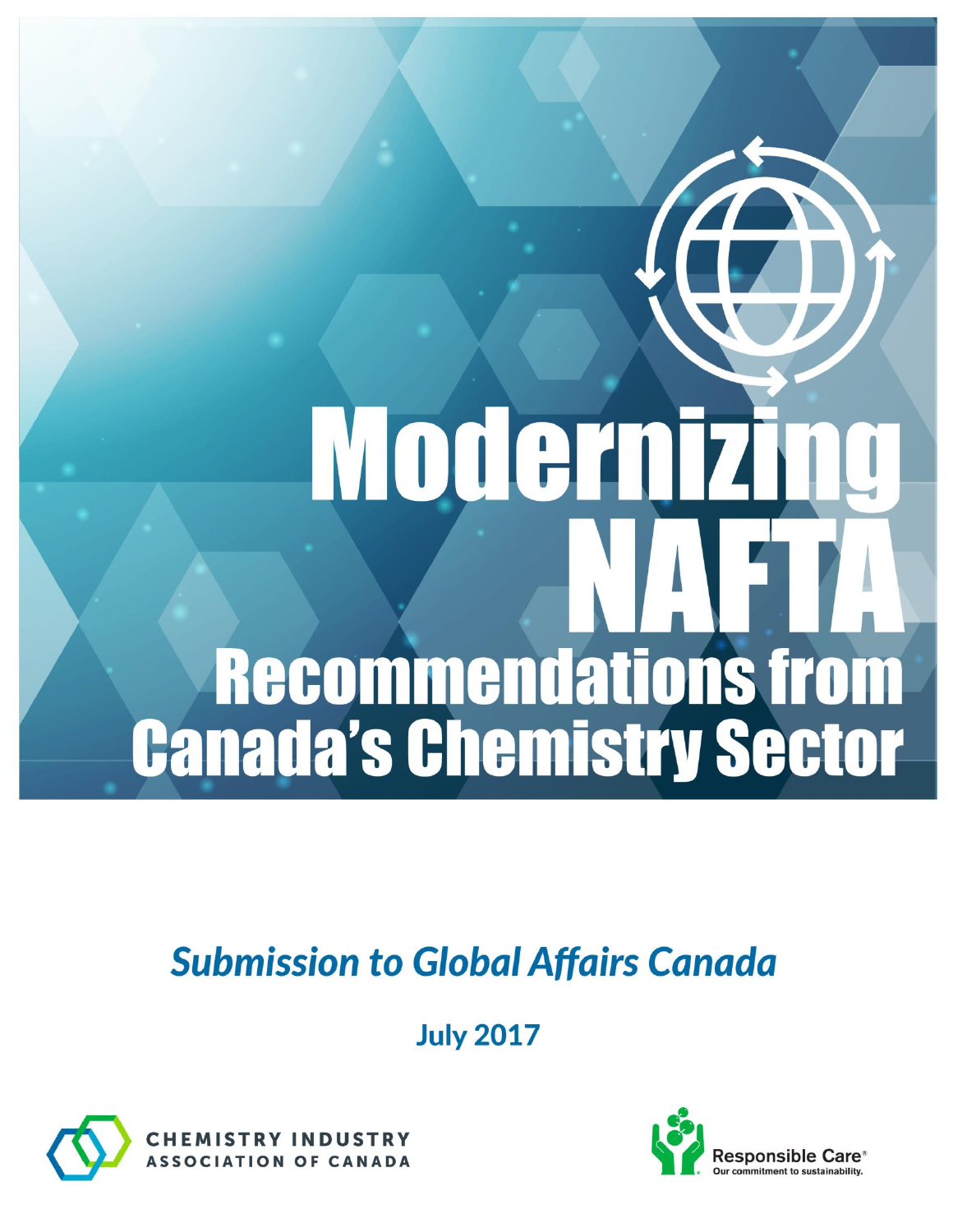# Moderniz **Recommendations from Canada's Chemistry Sector**

# **Submission to Global Affairs Canada**

**July 2017** 



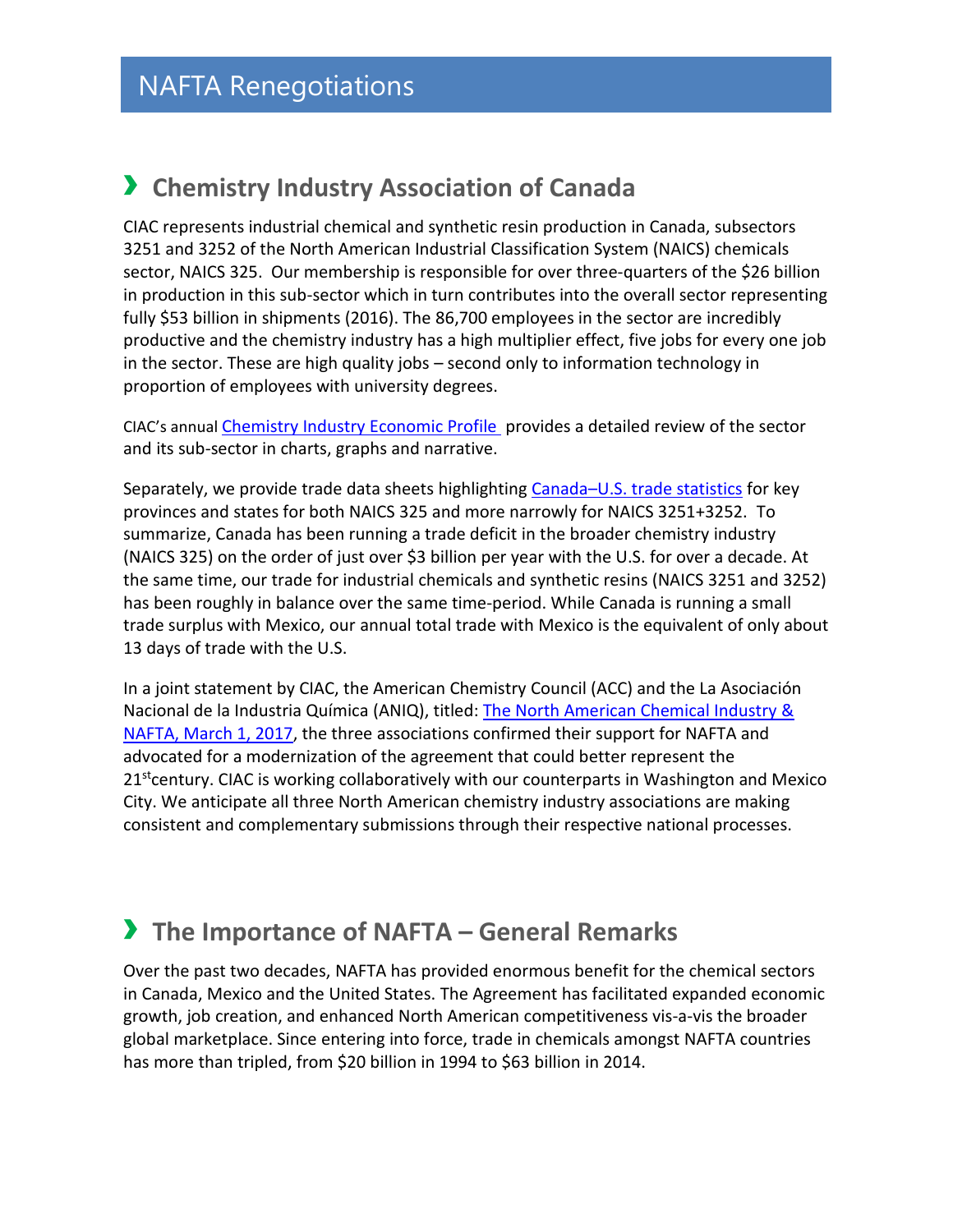# › **Chemistry Industry Association of Canada**

CIAC represents industrial chemical and synthetic resin production in Canada, subsectors 3251 and 3252 of the North American Industrial Classification System (NAICS) chemicals sector, NAICS 325. Our membership is responsible for over three-quarters of the \$26 billion in production in this sub-sector which in turn contributes into the overall sector representing fully \$53 billion in shipments (2016). The 86,700 employees in the sector are incredibly productive and the chemistry industry has a high multiplier effect, five jobs for every one job in the sector. These are high quality jobs – second only to information technology in proportion of employees with university degrees.

CIAC's annual [Chemistry Industry Economic Profile](http://www.canadianchemistry.ca/library/uploads/Stats_Review_2017_April25_ea.pdf) provides a detailed review of the sector and its sub-sector in charts, graphs and narrative.

Separately, we provide trade data sheets highlighting Canada–[U.S. trade statistics](http://www.canadianchemistry.ca/index.php/en/fact-sheets-brochures) for key provinces and states for both NAICS 325 and more narrowly for NAICS 3251+3252. To summarize, Canada has been running a trade deficit in the broader chemistry industry (NAICS 325) on the order of just over \$3 billion per year with the U.S. for over a decade. At the same time, our trade for industrial chemicals and synthetic resins (NAICS 3251 and 3252) has been roughly in balance over the same time-period. While Canada is running a small trade surplus with Mexico, our annual total trade with Mexico is the equivalent of only about 13 days of trade with the U.S.

In a joint statement by CIAC, the American Chemistry Council (ACC) and the La Asociación Nacional de la Industria Química (ANIQ), titled: [The North American Chemical Industry &](http://www.canadianchemistry.ca/library/uploads/NAFTA_and_the_North_American_Chemical_Industry_Joint_Statement.pdf) [NAFTA, March 1, 2017,](http://www.canadianchemistry.ca/library/uploads/NAFTA_and_the_North_American_Chemical_Industry_Joint_Statement.pdf) the three associations confirmed their support for NAFTA and advocated for a modernization of the agreement that could better represent the  $21<sup>st</sup>$ century. CIAC is working collaboratively with our counterparts in Washington and Mexico City. We anticipate all three North American chemistry industry associations are making consistent and complementary submissions through their respective national processes.

# › **The Importance of NAFTA – General Remarks**

Over the past two decades, NAFTA has provided enormous benefit for the chemical sectors in Canada, Mexico and the United States. The Agreement has facilitated expanded economic growth, job creation, and enhanced North American competitiveness vis-a-vis the broader global marketplace. Since entering into force, trade in chemicals amongst NAFTA countries has more than tripled, from \$20 billion in 1994 to \$63 billion in 2014.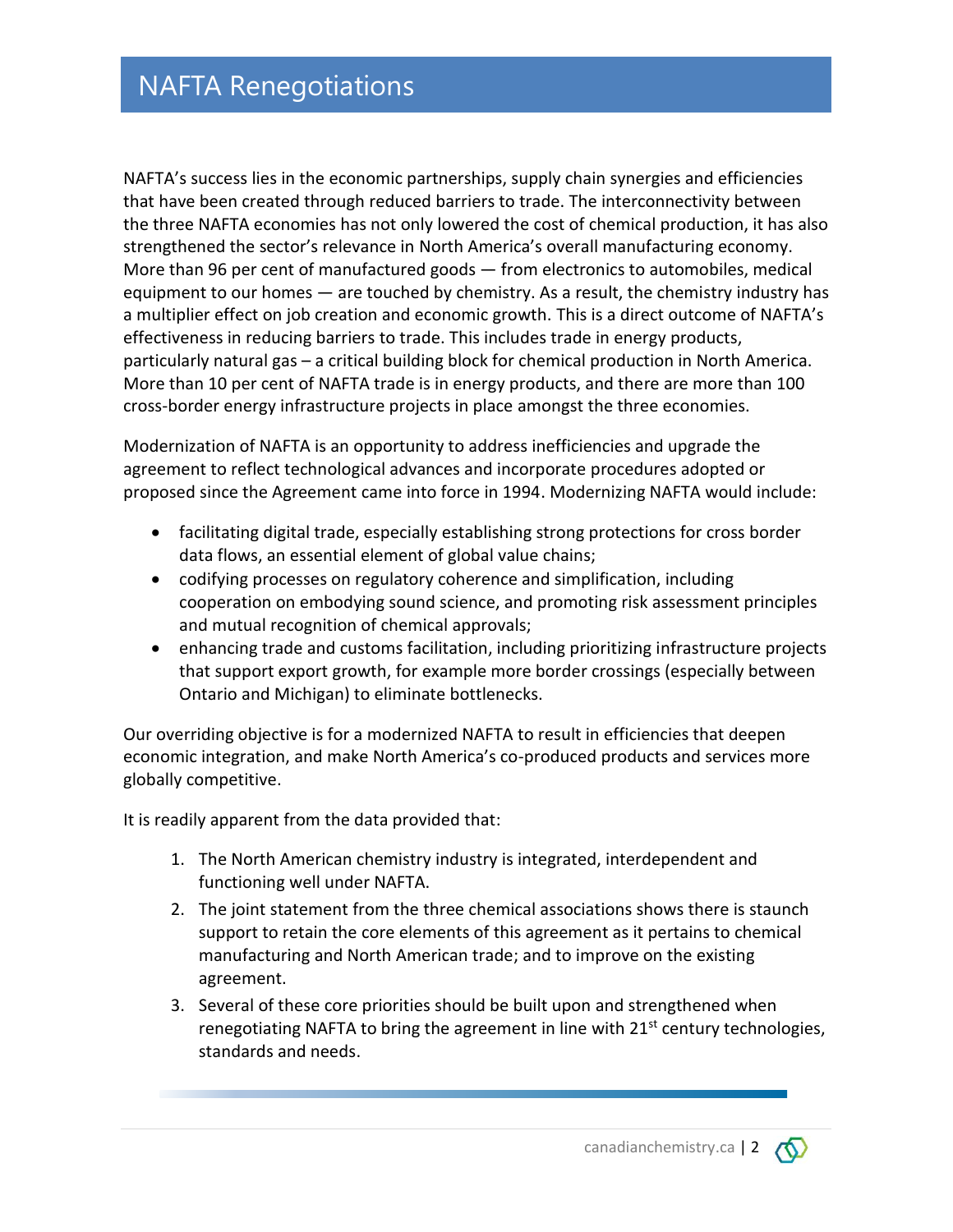NAFTA's success lies in the economic partnerships, supply chain synergies and efficiencies that have been created through reduced barriers to trade. The interconnectivity between the three NAFTA economies has not only lowered the cost of chemical production, it has also strengthened the sector's relevance in North America's overall manufacturing economy. More than 96 per cent of manufactured goods ― from electronics to automobiles, medical equipment to our homes ― are touched by chemistry. As a result, the chemistry industry has a multiplier effect on job creation and economic growth. This is a direct outcome of NAFTA's effectiveness in reducing barriers to trade. This includes trade in energy products, particularly natural gas – a critical building block for chemical production in North America. More than 10 per cent of NAFTA trade is in energy products, and there are more than 100 cross-border energy infrastructure projects in place amongst the three economies.

Modernization of NAFTA is an opportunity to address inefficiencies and upgrade the agreement to reflect technological advances and incorporate procedures adopted or proposed since the Agreement came into force in 1994. Modernizing NAFTA would include:

- facilitating digital trade, especially establishing strong protections for cross border data flows, an essential element of global value chains;
- codifying processes on regulatory coherence and simplification, including cooperation on embodying sound science, and promoting risk assessment principles and mutual recognition of chemical approvals;
- enhancing trade and customs facilitation, including prioritizing infrastructure projects that support export growth, for example more border crossings (especially between Ontario and Michigan) to eliminate bottlenecks.

Our overriding objective is for a modernized NAFTA to result in efficiencies that deepen economic integration, and make North America's co-produced products and services more globally competitive.

It is readily apparent from the data provided that:

- 1. The North American chemistry industry is integrated, interdependent and functioning well under NAFTA.
- 2. The joint statement from the three chemical associations shows there is staunch support to retain the core elements of this agreement as it pertains to chemical manufacturing and North American trade; and to improve on the existing agreement.
- 3. Several of these core priorities should be built upon and strengthened when renegotiating NAFTA to bring the agreement in line with  $21^{st}$  century technologies, standards and needs.

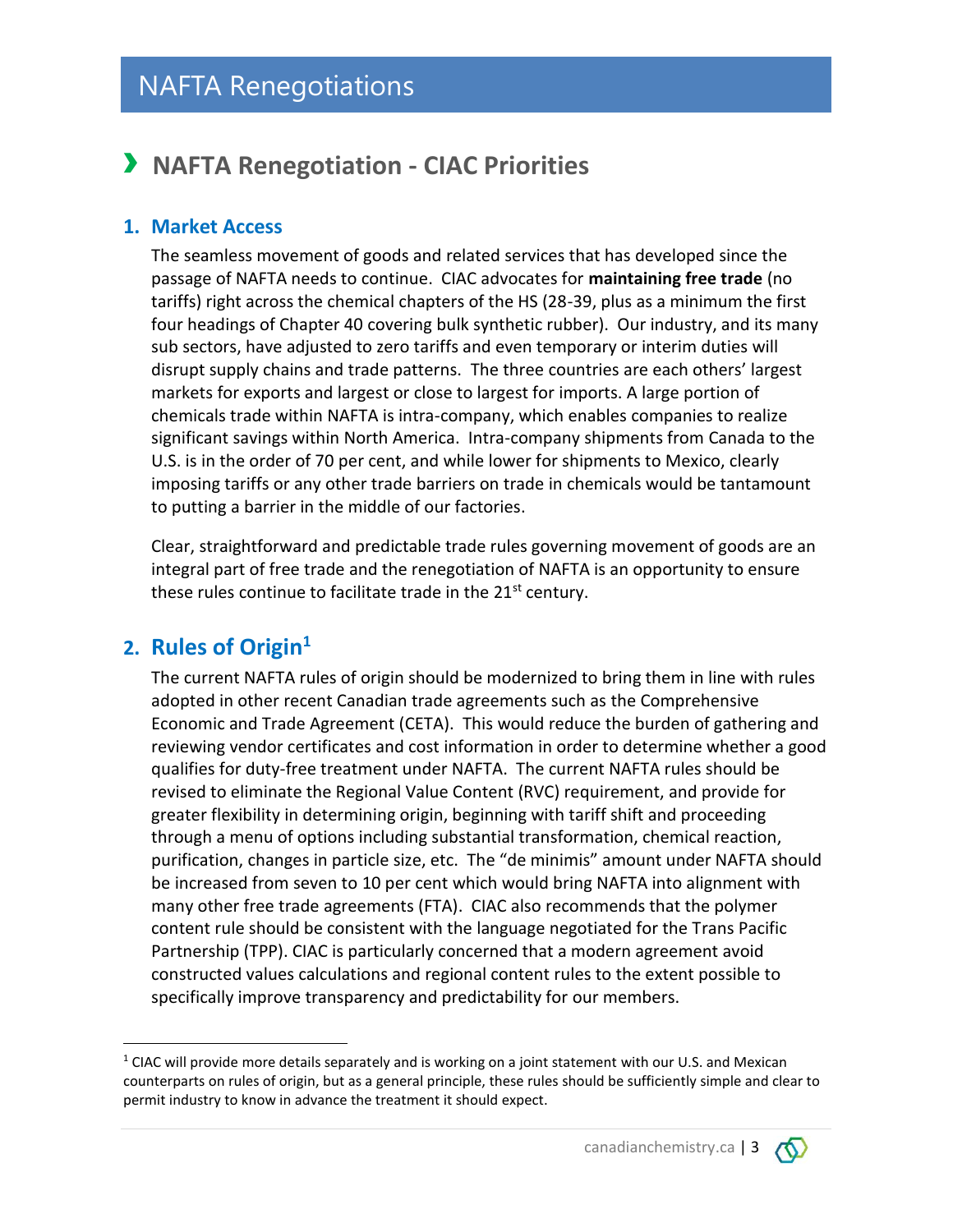# › **NAFTA Renegotiation - CIAC Priorities**

### **1. Market Access**

The seamless movement of goods and related services that has developed since the passage of NAFTA needs to continue. CIAC advocates for **maintaining free trade** (no tariffs) right across the chemical chapters of the HS (28-39, plus as a minimum the first four headings of Chapter 40 covering bulk synthetic rubber). Our industry, and its many sub sectors, have adjusted to zero tariffs and even temporary or interim duties will disrupt supply chains and trade patterns. The three countries are each others' largest markets for exports and largest or close to largest for imports. A large portion of chemicals trade within NAFTA is intra-company, which enables companies to realize significant savings within North America. Intra-company shipments from Canada to the U.S. is in the order of 70 per cent, and while lower for shipments to Mexico, clearly imposing tariffs or any other trade barriers on trade in chemicals would be tantamount to putting a barrier in the middle of our factories.

Clear, straightforward and predictable trade rules governing movement of goods are an integral part of free trade and the renegotiation of NAFTA is an opportunity to ensure these rules continue to facilitate trade in the 21<sup>st</sup> century.

### **2. Rules of Origin<sup>1</sup>**

 $\overline{\phantom{a}}$ 

The current NAFTA rules of origin should be modernized to bring them in line with rules adopted in other recent Canadian trade agreements such as the Comprehensive Economic and Trade Agreement (CETA). This would reduce the burden of gathering and reviewing vendor certificates and cost information in order to determine whether a good qualifies for duty-free treatment under NAFTA. The current NAFTA rules should be revised to eliminate the Regional Value Content (RVC) requirement, and provide for greater flexibility in determining origin, beginning with tariff shift and proceeding through a menu of options including substantial transformation, chemical reaction, purification, changes in particle size, etc. The "de minimis" amount under NAFTA should be increased from seven to 10 per cent which would bring NAFTA into alignment with many other free trade agreements (FTA). CIAC also recommends that the polymer content rule should be consistent with the language negotiated for the Trans Pacific Partnership (TPP). CIAC is particularly concerned that a modern agreement avoid constructed values calculations and regional content rules to the extent possible to specifically improve transparency and predictability for our members.



 $1$  CIAC will provide more details separately and is working on a joint statement with our U.S. and Mexican counterparts on rules of origin, but as a general principle, these rules should be sufficiently simple and clear to permit industry to know in advance the treatment it should expect.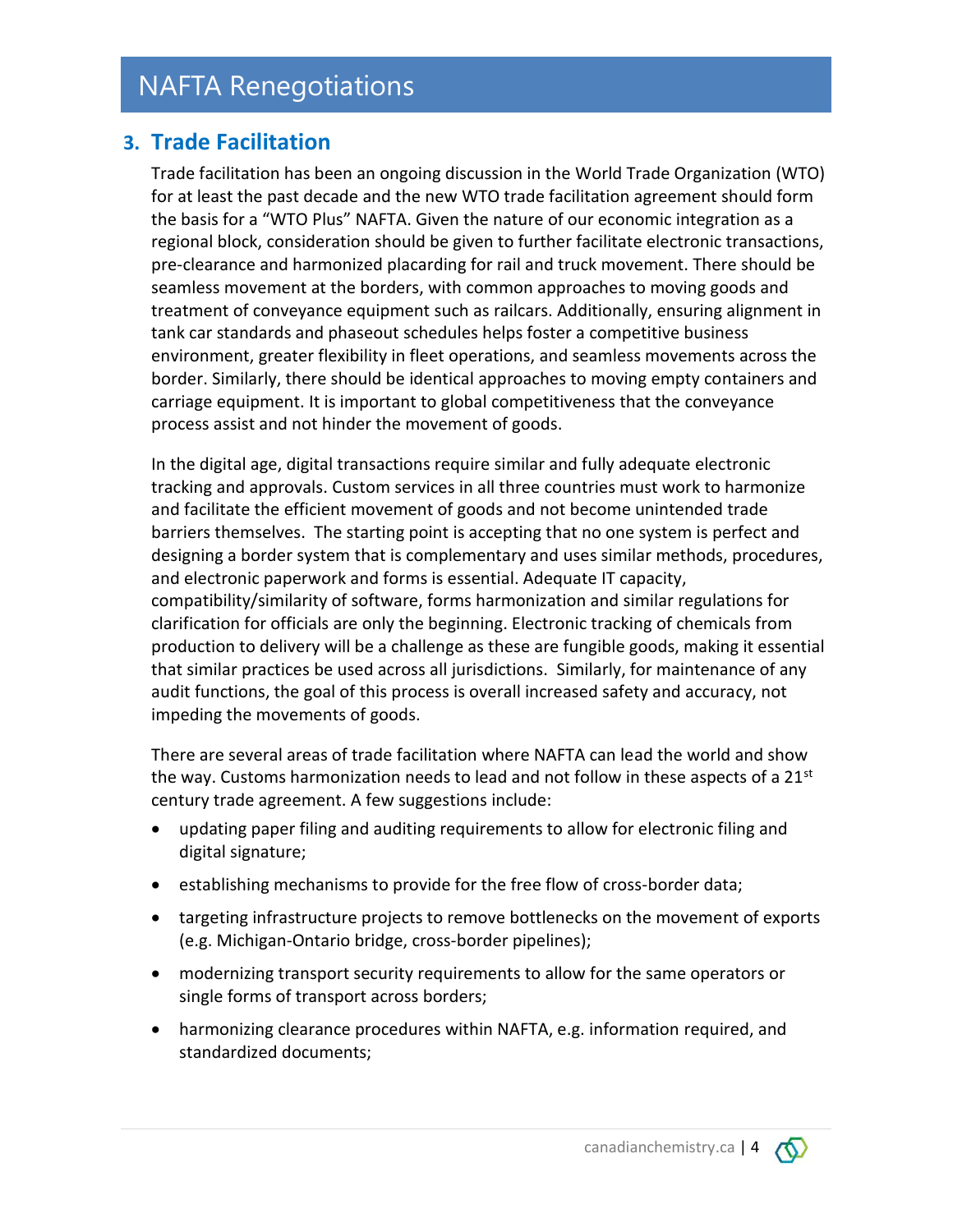### **3. Trade Facilitation**

Trade facilitation has been an ongoing discussion in the World Trade Organization (WTO) for at least the past decade and the new WTO trade facilitation agreement should form the basis for a "WTO Plus" NAFTA. Given the nature of our economic integration as a regional block, consideration should be given to further facilitate electronic transactions, pre-clearance and harmonized placarding for rail and truck movement. There should be seamless movement at the borders, with common approaches to moving goods and treatment of conveyance equipment such as railcars. Additionally, ensuring alignment in tank car standards and phaseout schedules helps foster a competitive business environment, greater flexibility in fleet operations, and seamless movements across the border. Similarly, there should be identical approaches to moving empty containers and carriage equipment. It is important to global competitiveness that the conveyance process assist and not hinder the movement of goods.

In the digital age, digital transactions require similar and fully adequate electronic tracking and approvals. Custom services in all three countries must work to harmonize and facilitate the efficient movement of goods and not become unintended trade barriers themselves. The starting point is accepting that no one system is perfect and designing a border system that is complementary and uses similar methods, procedures, and electronic paperwork and forms is essential. Adequate IT capacity, compatibility/similarity of software, forms harmonization and similar regulations for clarification for officials are only the beginning. Electronic tracking of chemicals from production to delivery will be a challenge as these are fungible goods, making it essential that similar practices be used across all jurisdictions. Similarly, for maintenance of any audit functions, the goal of this process is overall increased safety and accuracy, not impeding the movements of goods.

There are several areas of trade facilitation where NAFTA can lead the world and show the way. Customs harmonization needs to lead and not follow in these aspects of a 21<sup>st</sup> century trade agreement. A few suggestions include:

- updating paper filing and auditing requirements to allow for electronic filing and digital signature;
- establishing mechanisms to provide for the free flow of cross-border data;
- targeting infrastructure projects to remove bottlenecks on the movement of exports (e.g. Michigan-Ontario bridge, cross-border pipelines);
- modernizing transport security requirements to allow for the same operators or single forms of transport across borders;
- harmonizing clearance procedures within NAFTA, e.g. information required, and standardized documents;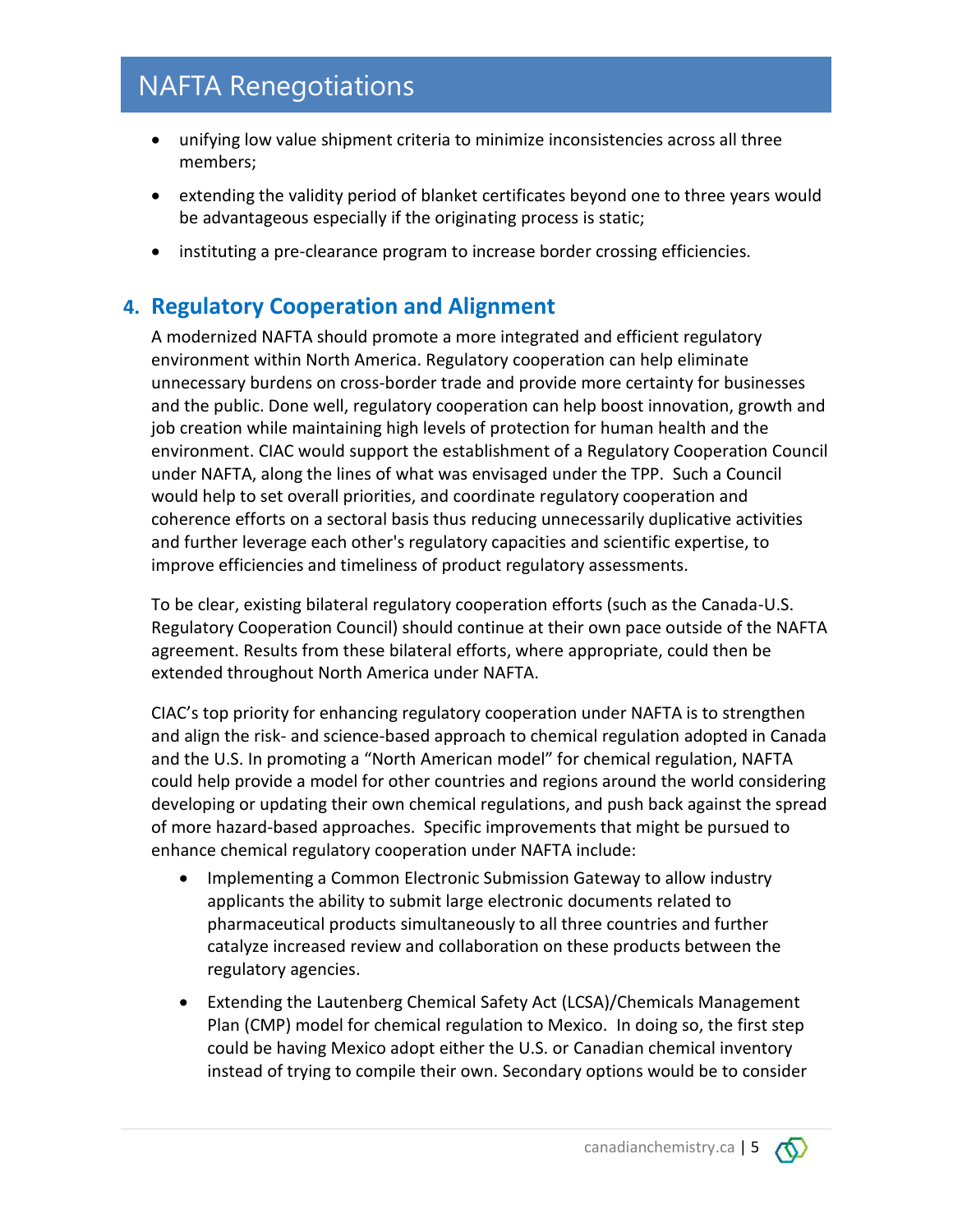- unifying low value shipment criteria to minimize inconsistencies across all three members;
- extending the validity period of blanket certificates beyond one to three years would be advantageous especially if the originating process is static;
- instituting a pre-clearance program to increase border crossing efficiencies.

### **4. Regulatory Cooperation and Alignment**

A modernized NAFTA should promote a more integrated and efficient regulatory environment within North America. Regulatory cooperation can help eliminate unnecessary burdens on cross-border trade and provide more certainty for businesses and the public. Done well, regulatory cooperation can help boost innovation, growth and job creation while maintaining high levels of protection for human health and the environment. CIAC would support the establishment of a Regulatory Cooperation Council under NAFTA, along the lines of what was envisaged under the TPP. Such a Council would help to set overall priorities, and coordinate regulatory cooperation and coherence efforts on a sectoral basis thus reducing unnecessarily duplicative activities and further leverage each other's regulatory capacities and scientific expertise, to improve efficiencies and timeliness of product regulatory assessments.

To be clear, existing bilateral regulatory cooperation efforts (such as the Canada-U.S. Regulatory Cooperation Council) should continue at their own pace outside of the NAFTA agreement. Results from these bilateral efforts, where appropriate, could then be extended throughout North America under NAFTA.

CIAC's top priority for enhancing regulatory cooperation under NAFTA is to strengthen and align the risk- and science-based approach to chemical regulation adopted in Canada and the U.S. In promoting a "North American model" for chemical regulation, NAFTA could help provide a model for other countries and regions around the world considering developing or updating their own chemical regulations, and push back against the spread of more hazard-based approaches. Specific improvements that might be pursued to enhance chemical regulatory cooperation under NAFTA include:

- Implementing a Common Electronic Submission Gateway to allow industry applicants the ability to submit large electronic documents related to pharmaceutical products simultaneously to all three countries and further catalyze increased review and collaboration on these products between the regulatory agencies.
- Extending the Lautenberg Chemical Safety Act (LCSA)/Chemicals Management Plan (CMP) model for chemical regulation to Mexico. In doing so, the first step could be having Mexico adopt either the U.S. or Canadian chemical inventory instead of trying to compile their own. Secondary options would be to consider

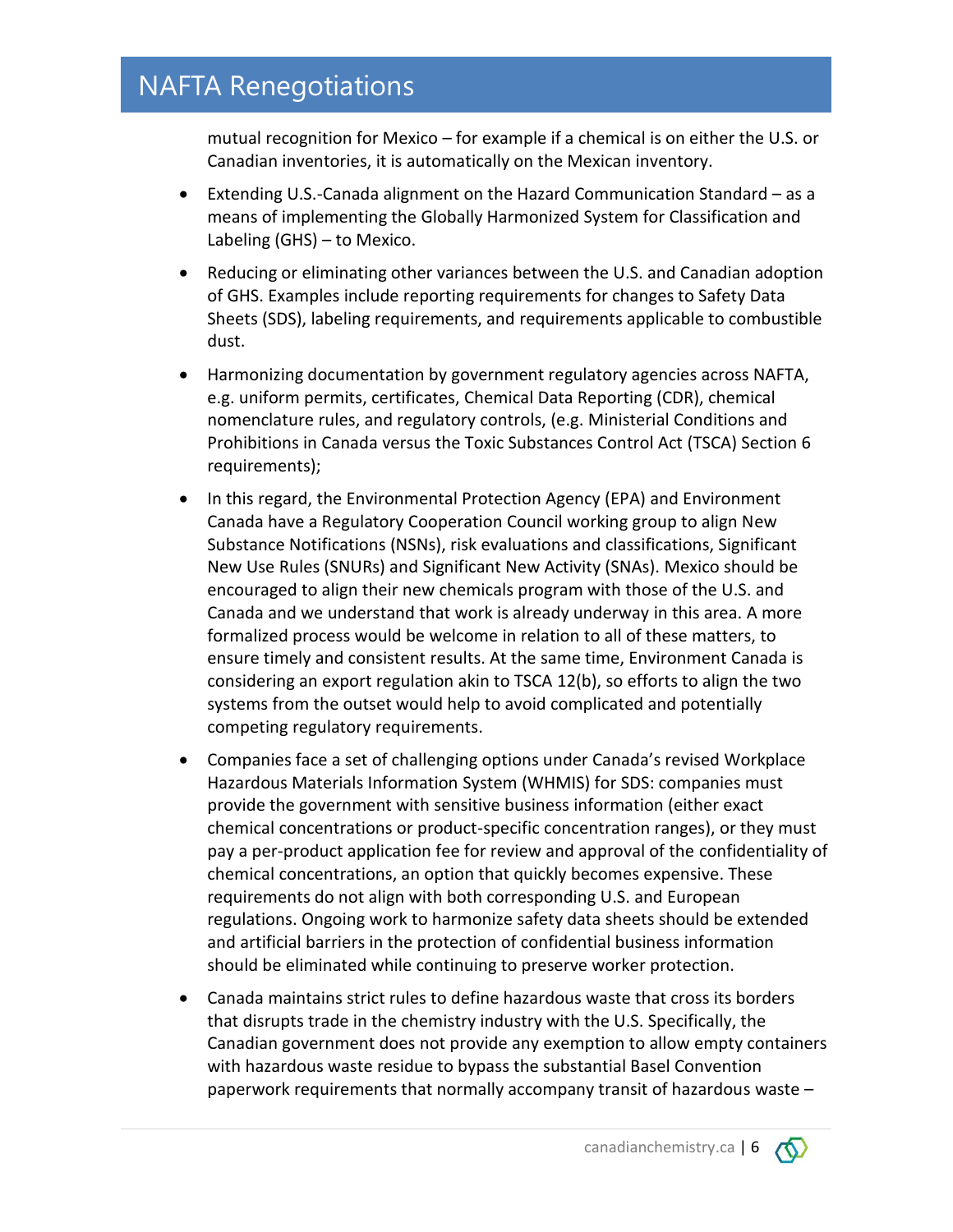mutual recognition for Mexico – for example if a chemical is on either the U.S. or Canadian inventories, it is automatically on the Mexican inventory.

- Extending U.S.-Canada alignment on the Hazard Communication Standard as a means of implementing the Globally Harmonized System for Classification and Labeling (GHS) – to Mexico.
- Reducing or eliminating other variances between the U.S. and Canadian adoption of GHS. Examples include reporting requirements for changes to Safety Data Sheets (SDS), labeling requirements, and requirements applicable to combustible dust.
- Harmonizing documentation by government regulatory agencies across NAFTA, e.g. uniform permits, certificates, Chemical Data Reporting (CDR), chemical nomenclature rules, and regulatory controls, (e.g. Ministerial Conditions and Prohibitions in Canada versus the Toxic Substances Control Act (TSCA) Section 6 requirements);
- In this regard, the Environmental Protection Agency (EPA) and Environment Canada have a Regulatory Cooperation Council working group to align New Substance Notifications (NSNs), risk evaluations and classifications, Significant New Use Rules (SNURs) and Significant New Activity (SNAs). Mexico should be encouraged to align their new chemicals program with those of the U.S. and Canada and we understand that work is already underway in this area. A more formalized process would be welcome in relation to all of these matters, to ensure timely and consistent results. At the same time, Environment Canada is considering an export regulation akin to TSCA 12(b), so efforts to align the two systems from the outset would help to avoid complicated and potentially competing regulatory requirements.
- Companies face a set of challenging options under Canada's revised Workplace Hazardous Materials Information System (WHMIS) for SDS: companies must provide the government with sensitive business information (either exact chemical concentrations or product-specific concentration ranges), or they must pay a per-product application fee for review and approval of the confidentiality of chemical concentrations, an option that quickly becomes expensive. These requirements do not align with both corresponding U.S. and European regulations. Ongoing work to harmonize safety data sheets should be extended and artificial barriers in the protection of confidential business information should be eliminated while continuing to preserve worker protection.
- Canada maintains strict rules to define hazardous waste that cross its borders that disrupts trade in the chemistry industry with the U.S. Specifically, the Canadian government does not provide any exemption to allow empty containers with hazardous waste residue to bypass the substantial Basel Convention paperwork requirements that normally accompany transit of hazardous waste –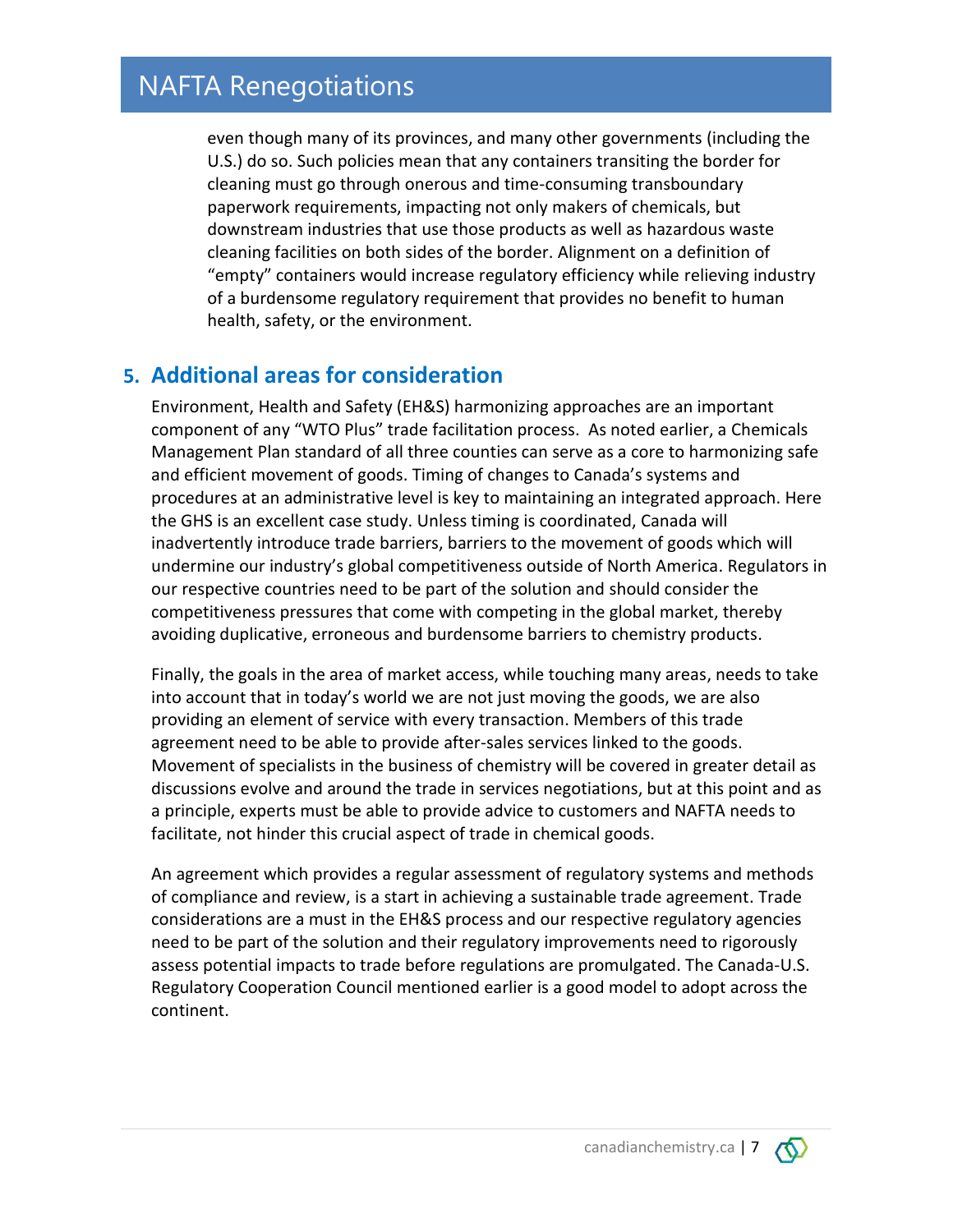even though many of its provinces, and many other governments (including the U.S.) do so. Such policies mean that any containers transiting the border for cleaning must go through onerous and time-consuming transboundary paperwork requirements, impacting not only makers of chemicals, but downstream industries that use those products as well as hazardous waste cleaning facilities on both sides of the border. Alignment on a definition of "empty" containers would increase regulatory efficiency while relieving industry of a burdensome regulatory requirement that provides no benefit to human health, safety, or the environment.

### **5. Additional areas for consideration**

Environment, Health and Safety (EH&S) harmonizing approaches are an important component of any "WTO Plus" trade facilitation process. As noted earlier, a Chemicals Management Plan standard of all three counties can serve as a core to harmonizing safe and efficient movement of goods. Timing of changes to Canada's systems and procedures at an administrative level is key to maintaining an integrated approach. Here the GHS is an excellent case study. Unless timing is coordinated, Canada will inadvertently introduce trade barriers, barriers to the movement of goods which will undermine our industry's global competitiveness outside of North America. Regulators in our respective countries need to be part of the solution and should consider the competitiveness pressures that come with competing in the global market, thereby avoiding duplicative, erroneous and burdensome barriers to chemistry products.

Finally, the goals in the area of market access, while touching many areas, needs to take into account that in today's world we are not just moving the goods, we are also providing an element of service with every transaction. Members of this trade agreement need to be able to provide after-sales services linked to the goods. Movement of specialists in the business of chemistry will be covered in greater detail as discussions evolve and around the trade in services negotiations, but at this point and as a principle, experts must be able to provide advice to customers and NAFTA needs to facilitate, not hinder this crucial aspect of trade in chemical goods.

An agreement which provides a regular assessment of regulatory systems and methods of compliance and review, is a start in achieving a sustainable trade agreement. Trade considerations are a must in the EH&S process and our respective regulatory agencies need to be part of the solution and their regulatory improvements need to rigorously assess potential impacts to trade before regulations are promulgated. The Canada-U.S. Regulatory Cooperation Council mentioned earlier is a good model to adopt across the continent.

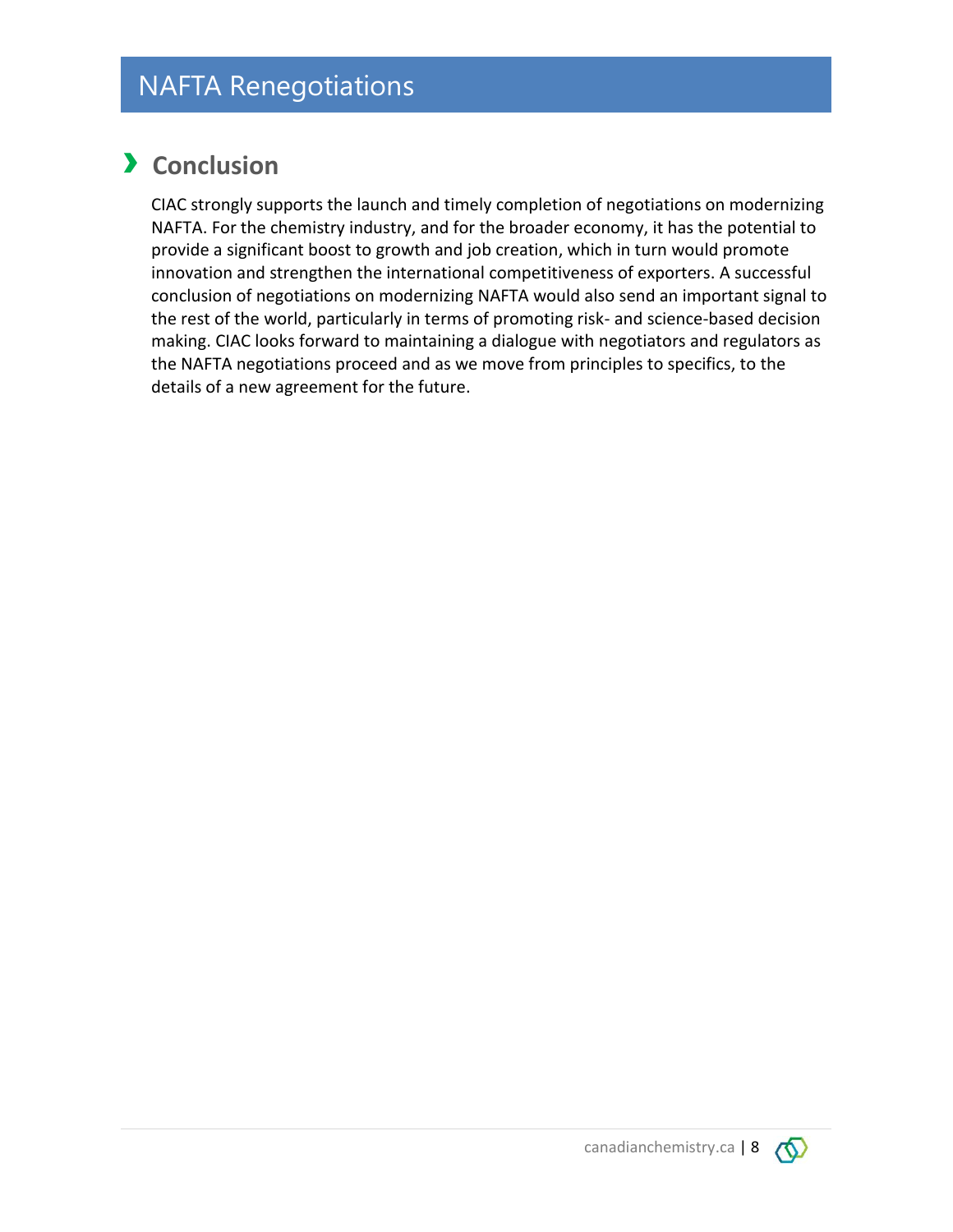## › **Conclusion**

CIAC strongly supports the launch and timely completion of negotiations on modernizing NAFTA. For the chemistry industry, and for the broader economy, it has the potential to provide a significant boost to growth and job creation, which in turn would promote innovation and strengthen the international competitiveness of exporters. A successful conclusion of negotiations on modernizing NAFTA would also send an important signal to the rest of the world, particularly in terms of promoting risk- and science-based decision making. CIAC looks forward to maintaining a dialogue with negotiators and regulators as the NAFTA negotiations proceed and as we move from principles to specifics, to the details of a new agreement for the future.